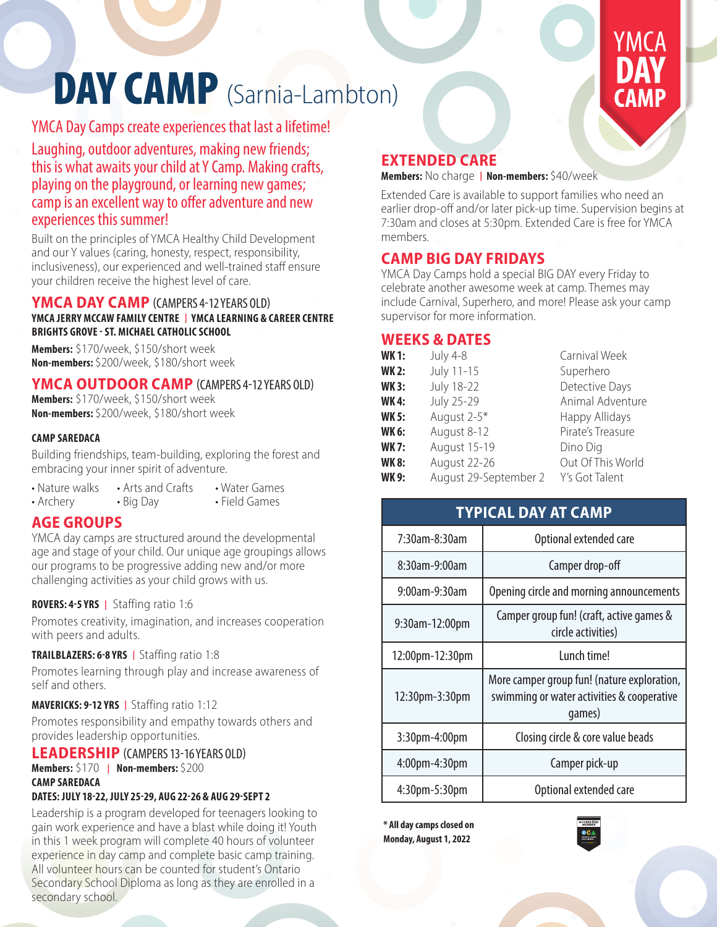# DAY CAMP (Sarnia-Lambton)

# YMCA Day Camps create experiences that last a lifetime!

Laughing, outdoor adventures, making new friends; this is what awaits your child at Y Camp. Making crafts, playing on the playground, or learning new games; camp is an excellent way to offer adventure and new experiences this summer!

Built on the principles of YMCA Healthy Child Development and our Y values (caring, honesty, respect, responsibility, inclusiveness), our experienced and well-trained staff ensure your children receive the highest level of care.

#### **YMCA DAY CAMP** (CAMPERS 4-12 YEARS OLD) **YMCA JERRY MCCAW FAMILY CENTRE | YMCA LEARNING & CAREER CENTRE BRIGHTS GROVE - ST. MICHAEL CATHOLIC SCHOOL**

**Members:** \$170/week, \$150/short week **Non-members:** \$200/week, \$180/short week

#### **YMCA OUTDOOR CAMP** (CAMPERS 4-12 YEARS OLD)

**Members:** \$170/week, \$150/short week **Non-members:** \$200/week, \$180/short week

#### **CAMP SAREDACA**

Building friendships, team-building, exploring the forest and embracing your inner spirit of adventure.

• Nature walks • Arts and Crafts • Water Games<br>• Archery • Big Day • Field Games • Field Games

#### **AGE GROUPS**

YMCA day camps are structured around the developmental age and stage of your child. Our unique age groupings allows our programs to be progressive adding new and/or more challenging activities as your child grows with us.

#### **ROVERS: 4-5 YRS |** Staffing ratio 1:6

Promotes creativity, imagination, and increases cooperation with peers and adults.

#### **TRAILBLAZERS: 6-8 YRS |** Staffing ratio 1:8

Promotes learning through play and increase awareness of self and others.

#### **MAVERICKS: 9-12 YRS |** Staffing ratio 1:12

Promotes responsibility and empathy towards others and provides leadership opportunities.

#### **LEADERSHIP** (CAMPERS 13-16 YEARS OLD)

#### **Members:** \$170 **| Non-members:** \$200 **CAMP SAREDACA**

#### **DATES: JULY 18-22, JULY 25-29, AUG 22-26 & AUG 29-SEPT 2**

Leadership is a program developed for teenagers looking to gain work experience and have a blast while doing it! Youth in this 1 week program will complete 40 hours of volunteer experience in day camp and complete basic camp training. All volunteer hours can be counted for student's Ontario Secondary School Diploma as long as they are enrolled in a secondary school.

## **EXTENDED CARE**

**Members:** No charge **| Non-members:** \$40/week

Extended Care is available to support families who need an earlier drop-off and/or later pick-up time. Supervision begins at 7:30am and closes at 5:30pm. Extended Care is free for YMCA members.

#### **CAMP BIG DAY FRIDAYS**

YMCA Day Camps hold a special BIG DAY every Friday to celebrate another awesome week at camp. Themes may include Carnival, Superhero, and more! Please ask your camp supervisor for more information.

#### **WEEKS & DATES**

| <b>WK1:</b>  | <b>July 4-8</b>       | Carnival Week     |
|--------------|-----------------------|-------------------|
| <b>WK2:</b>  | July 11-15            | Superhero         |
| <b>WK3:</b>  | <b>July 18-22</b>     | Detective Days    |
| <b>WK4:</b>  | <b>July 25-29</b>     | Animal Adventure  |
| <b>WK 5:</b> | August 2-5*           | Happy Allidays    |
| WK 6:        | August 8-12           | Pirate's Treasure |
| <b>WK7:</b>  | August 15-19          | Dino Dig          |
| <b>WK8:</b>  | August 22-26          | Out Of This World |
| <b>WK9:</b>  | August 29-September 2 | Y's Got Talent    |

#### **TYPICAL DAY AT CAMP**

| 7:30am-8:30am        | Optional extended care                                                                              |
|----------------------|-----------------------------------------------------------------------------------------------------|
| 8:30am-9:00am        | Camper drop-off                                                                                     |
| 9:00am-9:30am        | Opening circle and morning announcements                                                            |
| 9:30am-12:00pm       | Camper group fun! (craft, active games &<br>circle activities)                                      |
| 12:00pm-12:30pm      | Lunch time!                                                                                         |
| 12:30pm-3:30pm       | More camper group fun! (nature exploration,<br>swimming or water activities & cooperative<br>qames) |
| 3:30pm-4:00pm        | Closing circle & core value beads                                                                   |
| $4:00$ pm $-4:30$ pm | Camper pick-up                                                                                      |
| 4:30pm-5:30pm        | Optional extended care                                                                              |

**\* All day camps closed on Monday, August 1, 2022**